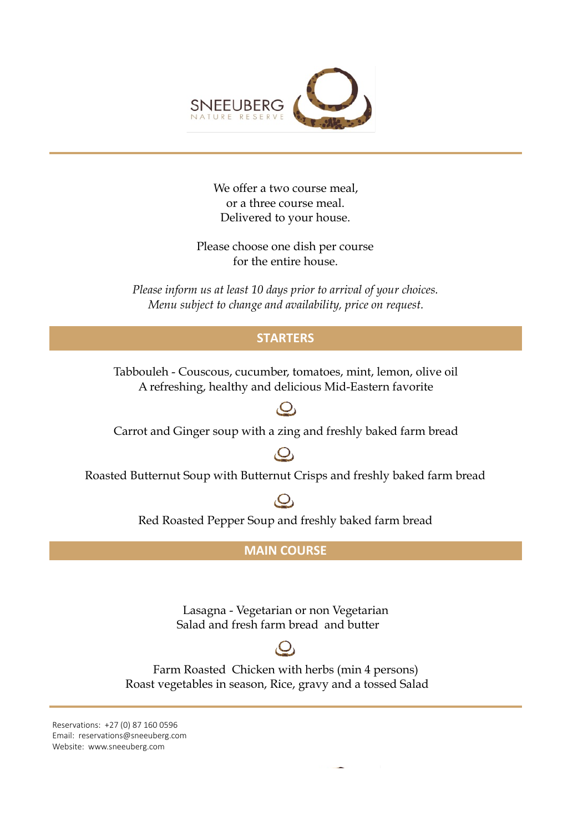

We offer a two course meal, or a three course meal. Delivered to your house.

Please choose one dish per course for the entire house.

*Please inform us at least 10 days prior to arrival of your choices. Menu subject to change and availability, price on request.*

#### **STARTERS**

A refreshing, healthy and delicious Mid-Eastern favorite Tabbouleh - Couscous, cucumber, tomatoes, mint, lemon, olive oil

### $\overline{O}$

Carrot and Ginger soup with a zing and freshly baked farm bread

## $\overline{Q}$

Roasted Butternut Soup with Butternut Crisps and freshly baked farm bread

## $\overline{O}_1$

Red Roasted Pepper Soup and freshly baked farm bread

#### **MAIN COURSE**

Lasagna - Vegetarian or non Vegetarian Salad and fresh farm bread and butter

# $\mathbf{O}_i$

Farm Roasted Chicken with herbs (min 4 persons) Roast vegetables in season, Rice, gravy and a tossed Salad

Reservations: +27 (0) 87 160 0596 Email: reservations@sneeuberg.com Website: www.sneeuberg.com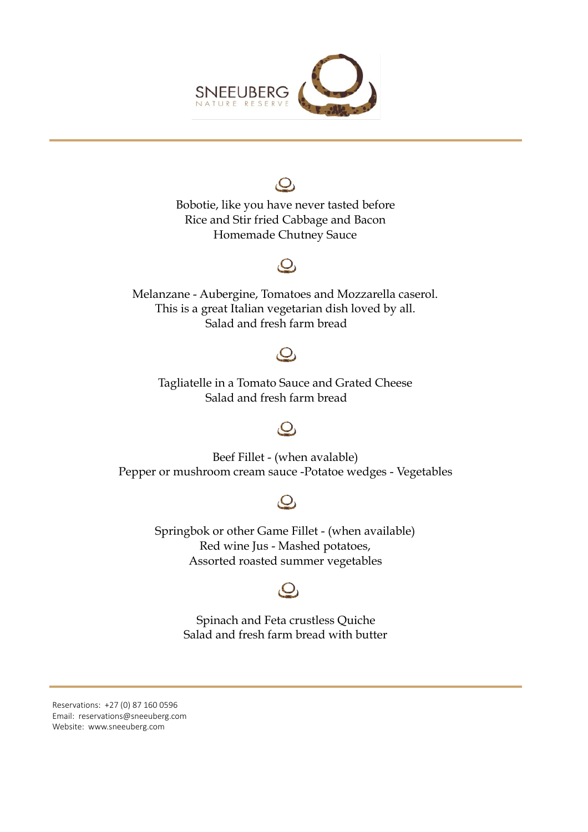

 $\mathcal{O}_1$ Bobotie, like you have never tasted beforeRice and Stir fried Cabbage and Bacon Homemade Chutney Sauce

## $\overline{Q}$

Melanzane - Aubergine, Tomatoes and Mozzarella caserol. This is a great Italian vegetarian dish loved by all. Salad and fresh farm bread

# $\mathcal{O}_1$

Tagliatelle in a Tomato Sauce and Grated Cheese Salad and fresh farm bread

## $\overline{O}$

Beef Fillet - (when avalable) Pepper or mushroom cream sauce -Potatoe wedges - Vegetables

# $\overline{Q}$

Springbok or other Game Fillet - (when available) Red wine Jus - Mashed potatoes, Assorted roasted summer vegetables



Spinach and Feta crustless Quiche Salad and fresh farm bread with butter

Reservations: +27 (0) 87 160 0596 Email: reservations@sneeuberg.com Website: www.sneeuberg.com